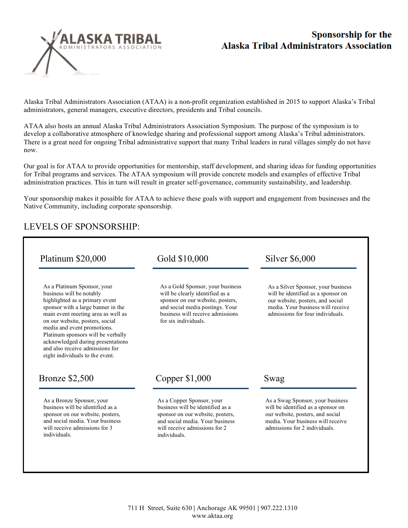

## Sponsorship for the **Alaska Tribal Administrators Association**

Alaska Tribal Administrators Association (ATAA) is a non-profit organization established in 2015 to support Alaska's Tribal administrators, general managers, executive directors, presidents and Tribal councils.

ATAA also hosts an annual Alaska Tribal Administrators Association Symposium. The purpose of the symposium is to develop a collaborative atmosphere of knowledge sharing and professional support among Alaska's Tribal administrators. There is a great need for ongoing Tribal administrative support that many Tribal leaders in rural villages simply do not have now.

Our goal is for ATAA to provide opportunities for mentorship, staff development, and sharing ideas for funding opportunities for Tribal programs and services. The ATAA symposium will provide concrete models and examples of effective Tribal administration practices. This in turn will result in greater self-governance, community sustainability, and leadership.

Your sponsorship makes it possible for ATAA to achieve these goals with support and engagement from businesses and the Native Community, including corporate sponsorship.

## LEVELS OF SPONSORSHIP:

| Platinum \$20,000                                                                                                                                                                                                                                                             | Gold \$10,000                                                                                                                                                                                          | Silver \$6,000<br>As a Silver Sponsor, your business<br>will be identified as a sponsor on<br>our website, posters, and social<br>media. Your business will receive<br>admissions for four individuals. |  |
|-------------------------------------------------------------------------------------------------------------------------------------------------------------------------------------------------------------------------------------------------------------------------------|--------------------------------------------------------------------------------------------------------------------------------------------------------------------------------------------------------|---------------------------------------------------------------------------------------------------------------------------------------------------------------------------------------------------------|--|
| As a Platinum Sponsor, your<br>business will be notably<br>highlighted as a primary event<br>sponsor with a large banner in the<br>main event meeting area as well as<br>on our website, posters, social<br>media and event promotions.<br>Platinum sponsors will be verbally | As a Gold Sponsor, your business<br>will be clearly identified as a<br>sponsor on our website, posters,<br>and social media postings. Your<br>business will receive admissions<br>for six individuals. |                                                                                                                                                                                                         |  |
| acknowledged during presentations<br>and also receive admissions for<br>eight individuals to the event.                                                                                                                                                                       |                                                                                                                                                                                                        |                                                                                                                                                                                                         |  |
| <b>Bronze</b> \$2,500                                                                                                                                                                                                                                                         | Copper \$1,000                                                                                                                                                                                         | Swag                                                                                                                                                                                                    |  |